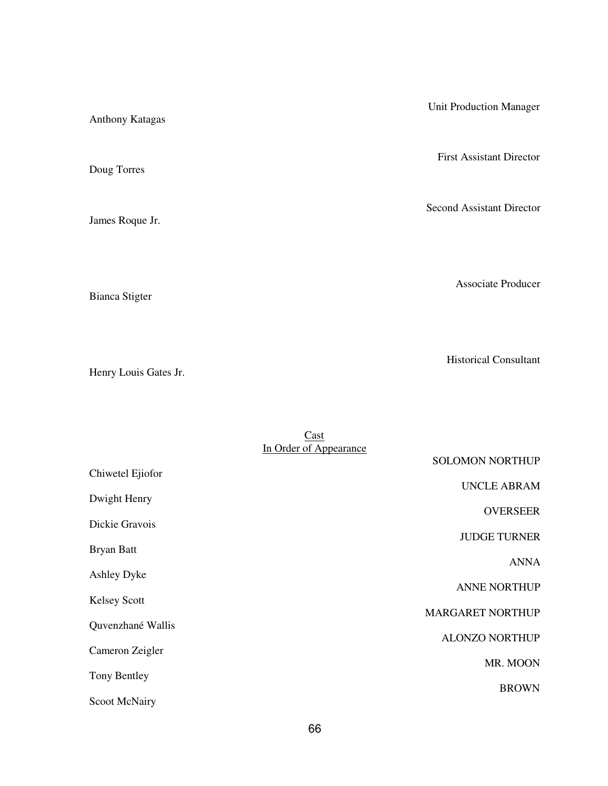Unit Production Manager Anthony Katagas First Assistant Director Doug Torres Second Assistant Director James Roque Jr. Associate Producer Bianca Stigter

Henry Louis Gates Jr.

Historical Consultant

|                      | Cast                   |                         |
|----------------------|------------------------|-------------------------|
|                      | In Order of Appearance |                         |
|                      |                        | <b>SOLOMON NORTHUP</b>  |
| Chiwetel Ejiofor     |                        |                         |
| Dwight Henry         |                        | <b>UNCLE ABRAM</b>      |
|                      |                        | <b>OVERSEER</b>         |
| Dickie Gravois       |                        |                         |
|                      |                        | <b>JUDGE TURNER</b>     |
| <b>Bryan Batt</b>    |                        |                         |
|                      |                        | <b>ANNA</b>             |
| <b>Ashley Dyke</b>   |                        |                         |
| <b>Kelsey Scott</b>  |                        | <b>ANNE NORTHUP</b>     |
|                      |                        | <b>MARGARET NORTHUP</b> |
| Quvenzhané Wallis    |                        |                         |
|                      |                        | <b>ALONZO NORTHUP</b>   |
| Cameron Zeigler      |                        |                         |
|                      |                        | MR. MOON                |
| Tony Bentley         |                        | <b>BROWN</b>            |
| <b>Scoot McNairy</b> |                        |                         |
|                      |                        |                         |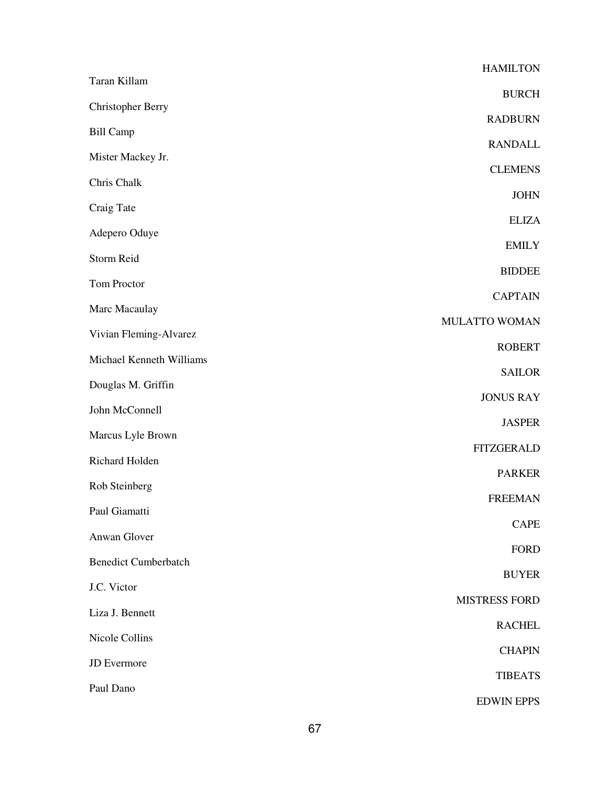|                             | <b>HAMILTON</b>      |
|-----------------------------|----------------------|
| Taran Killam                | <b>BURCH</b>         |
| <b>Christopher Berry</b>    | <b>RADBURN</b>       |
| <b>Bill Camp</b>            | <b>RANDALL</b>       |
| Mister Mackey Jr.           | <b>CLEMENS</b>       |
| Chris Chalk                 |                      |
| Craig Tate                  | <b>JOHN</b>          |
| Adepero Oduye               | <b>ELIZA</b>         |
| Storm Reid                  | <b>EMILY</b>         |
| Tom Proctor                 | <b>BIDDEE</b>        |
| Marc Macaulay               | <b>CAPTAIN</b>       |
| Vivian Fleming-Alvarez      | MULATTO WOMAN        |
| Michael Kenneth Williams    | <b>ROBERT</b>        |
| Douglas M. Griffin          | <b>SAILOR</b>        |
| John McConnell              | <b>JONUS RAY</b>     |
| Marcus Lyle Brown           | <b>JASPER</b>        |
| Richard Holden              | <b>FITZGERALD</b>    |
| Rob Steinberg               | <b>PARKER</b>        |
| Paul Giamatti               | <b>FREEMAN</b>       |
| Anwan Glover                | <b>CAPE</b>          |
|                             | <b>FORD</b>          |
| <b>Benedict Cumberbatch</b> | <b>BUYER</b>         |
| J.C. Victor                 | <b>MISTRESS FORD</b> |
| Liza J. Bennett             | <b>RACHEL</b>        |
| Nicole Collins              | <b>CHAPIN</b>        |
| JD Evermore                 | <b>TIBEATS</b>       |
| Paul Dano                   | <b>EDWIN EPPS</b>    |
|                             |                      |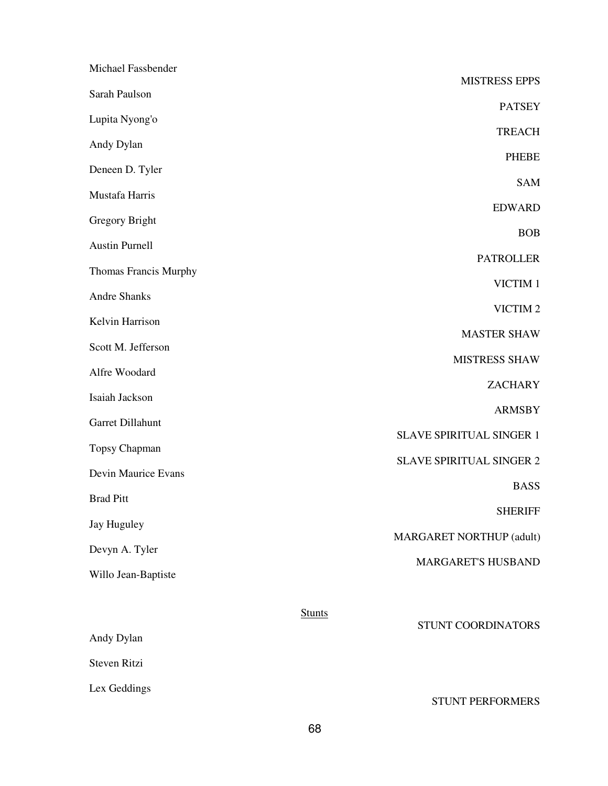| Michael Fassbender    |               |                                 |
|-----------------------|---------------|---------------------------------|
| Sarah Paulson         |               | <b>MISTRESS EPPS</b>            |
| Lupita Nyong'o        |               | <b>PATSEY</b>                   |
| Andy Dylan            |               | <b>TREACH</b>                   |
| Deneen D. Tyler       |               | <b>PHEBE</b>                    |
| Mustafa Harris        |               | <b>SAM</b>                      |
| <b>Gregory Bright</b> |               | <b>EDWARD</b>                   |
| <b>Austin Purnell</b> |               | <b>BOB</b>                      |
| Thomas Francis Murphy |               | <b>PATROLLER</b>                |
| <b>Andre Shanks</b>   |               | VICTIM 1                        |
| Kelvin Harrison       |               | VICTIM <sub>2</sub>             |
| Scott M. Jefferson    |               | <b>MASTER SHAW</b>              |
| Alfre Woodard         |               | <b>MISTRESS SHAW</b>            |
| Isaiah Jackson        |               | <b>ZACHARY</b>                  |
| Garret Dillahunt      |               | <b>ARMSBY</b>                   |
| Topsy Chapman         |               | SLAVE SPIRITUAL SINGER 1        |
| Devin Maurice Evans   |               | <b>SLAVE SPIRITUAL SINGER 2</b> |
| <b>Brad Pitt</b>      |               | <b>BASS</b>                     |
| <b>Jay Huguley</b>    |               | <b>SHERIFF</b>                  |
| Devyn A. Tyler        |               | <b>MARGARET NORTHUP (adult)</b> |
| Willo Jean-Baptiste   |               | MARGARET'S HUSBAND              |
|                       | <b>Stunts</b> |                                 |
| Andy Dylan            |               | STUNT COORDINATORS              |
| Steven Ritzi          |               |                                 |
| Lex Geddings          |               | STUNT PERFORMERS                |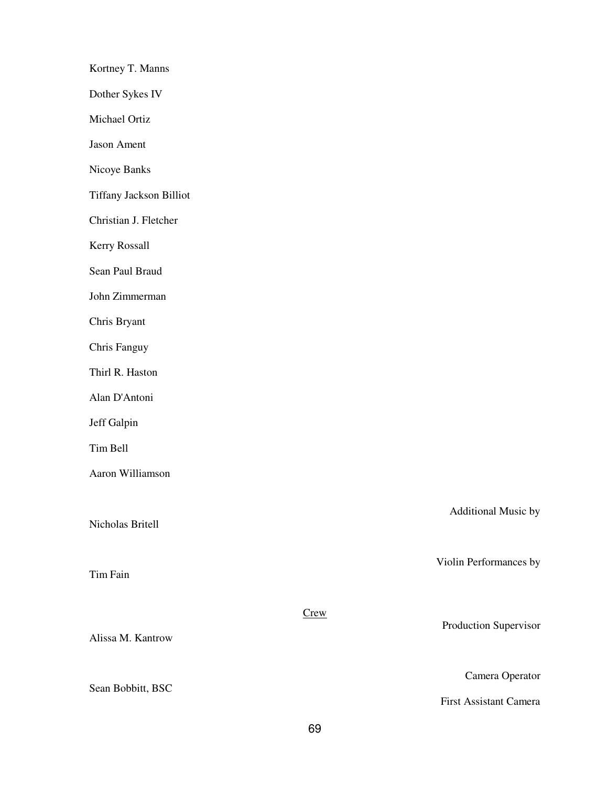| Kortney T. Manns        |             |                        |
|-------------------------|-------------|------------------------|
| Dother Sykes IV         |             |                        |
| Michael Ortiz           |             |                        |
| Jason Ament             |             |                        |
| Nicoye Banks            |             |                        |
| Tiffany Jackson Billiot |             |                        |
| Christian J. Fletcher   |             |                        |
| Kerry Rossall           |             |                        |
| Sean Paul Braud         |             |                        |
| John Zimmerman          |             |                        |
| Chris Bryant            |             |                        |
| Chris Fanguy            |             |                        |
| Thirl R. Haston         |             |                        |
| Alan D'Antoni           |             |                        |
| Jeff Galpin             |             |                        |
| Tim Bell                |             |                        |
| Aaron Williamson        |             |                        |
| Nicholas Britell        |             | Additional Music by    |
| Tim Fain                |             | Violin Performances by |
| Alissa M. Kantrow       | <b>Crew</b> | Production Supervisor  |
| Sean Bobbitt, BSC       |             | Camera Operator        |
|                         |             | First Assistant Camera |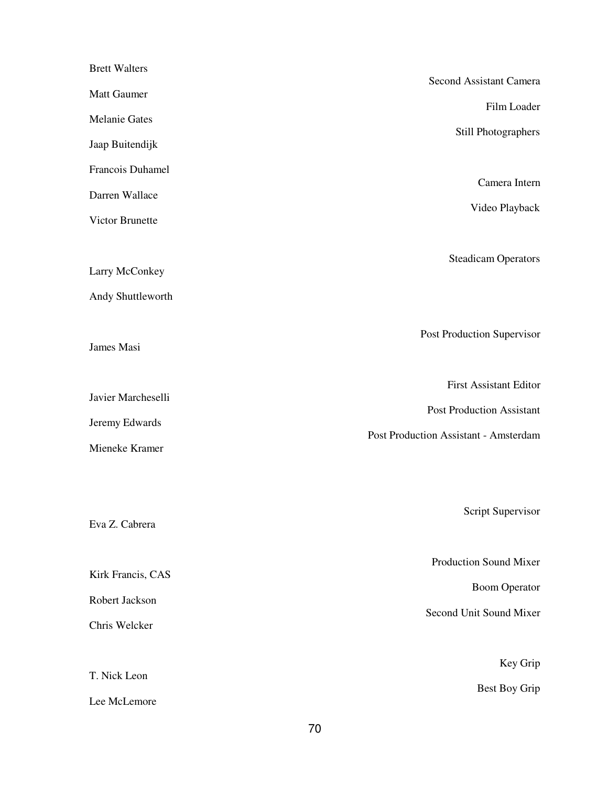| <b>Brett Walters</b>                |                                       |
|-------------------------------------|---------------------------------------|
| Matt Gaumer                         | Second Assistant Camera               |
| <b>Melanie Gates</b>                | Film Loader                           |
| Jaap Buitendijk                     | Still Photographers                   |
| Francois Duhamel                    |                                       |
| Darren Wallace                      | Camera Intern                         |
| Victor Brunette                     | Video Playback                        |
| Larry McConkey<br>Andy Shuttleworth | <b>Steadicam Operators</b>            |
| James Masi                          | Post Production Supervisor            |
| Javier Marcheselli                  | <b>First Assistant Editor</b>         |
|                                     | <b>Post Production Assistant</b>      |
| Jeremy Edwards<br>Mieneke Kramer    | Post Production Assistant - Amsterdam |
| Eva Z. Cabrera                      | Script Supervisor                     |
|                                     |                                       |
| Kirk Francis, CAS                   | Production Sound Mixer                |
| Robert Jackson                      | <b>Boom Operator</b>                  |
| Chris Welcker                       | Second Unit Sound Mixer               |
|                                     |                                       |
| T. Nick Leon                        | Key Grip                              |
| Lee McLemore                        | Best Boy Grip                         |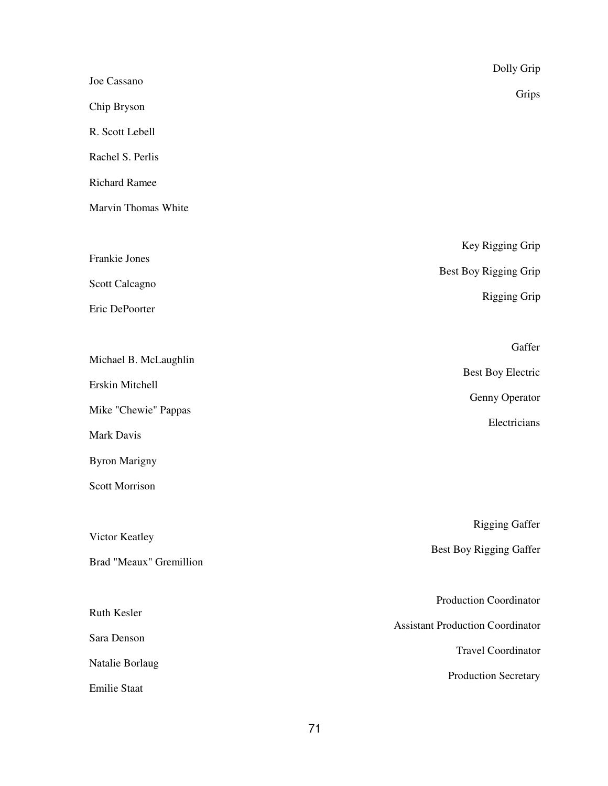|                         | Dolly Grip                              |
|-------------------------|-----------------------------------------|
| Joe Cassano             | Grips                                   |
| Chip Bryson             |                                         |
| R. Scott Lebell         |                                         |
| Rachel S. Perlis        |                                         |
| <b>Richard Ramee</b>    |                                         |
| Marvin Thomas White     |                                         |
|                         | Key Rigging Grip                        |
| Frankie Jones           | Best Boy Rigging Grip                   |
| Scott Calcagno          | <b>Rigging Grip</b>                     |
| Eric DePoorter          |                                         |
|                         | Gaffer                                  |
| Michael B. McLaughlin   |                                         |
| Erskin Mitchell         | <b>Best Boy Electric</b>                |
| Mike "Chewie" Pappas    | Genny Operator                          |
| Mark Davis              | Electricians                            |
| <b>Byron Marigny</b>    |                                         |
| <b>Scott Morrison</b>   |                                         |
|                         |                                         |
| Victor Keatley          | <b>Rigging Gaffer</b>                   |
| Brad "Meaux" Gremillion | Best Boy Rigging Gaffer                 |
|                         |                                         |
| Ruth Kesler             | <b>Production Coordinator</b>           |
| Sara Denson             | <b>Assistant Production Coordinator</b> |
| Natalie Borlaug         | <b>Travel Coordinator</b>               |
| <b>Emilie Staat</b>     | Production Secretary                    |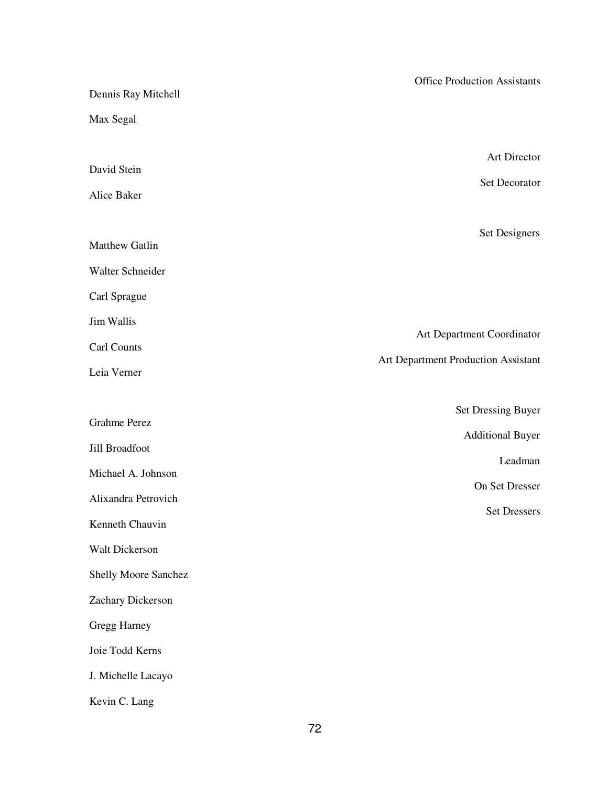| Dennis Ray Mitchell  | <b>Office Production Assistants</b> |
|----------------------|-------------------------------------|
| Max Segal            |                                     |
|                      |                                     |
| David Stein          | Art Director                        |
| Alice Baker          | Set Decorator                       |
|                      | Set Designers                       |
| Matthew Gatlin       |                                     |
| Walter Schneider     |                                     |
| Carl Sprague         |                                     |
| Jim Wallis           |                                     |
| Carl Counts          | Art Department Coordinator          |
| Leia Verner          | Art Department Production Assistant |
|                      | <b>Set Dressing Buyer</b>           |
| <b>Grahme Perez</b>  | <b>Additional Buyer</b>             |
| Jill Broadfoot       | Leadman                             |
| Michael A. Johnson   | On Set Dresser                      |
| Alixandra Petrovich  | <b>Set Dressers</b>                 |
| Kenneth Chauvin      |                                     |
| Walt Dickerson       |                                     |
| Shelly Moore Sanchez |                                     |
| Zachary Dickerson    |                                     |
| Gregg Harney         |                                     |
| Joie Todd Kerns      |                                     |
| J. Michelle Lacayo   |                                     |
| Kevin C. Lang        |                                     |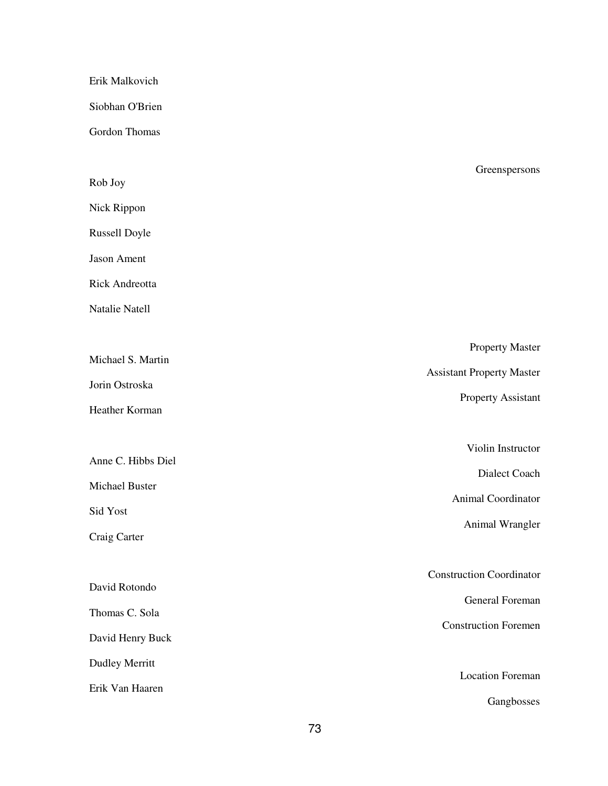## Erik Malkovich

Siobhan O'Brien

Gordon Thomas

| Rob Joy               | <i><u><b>OILLISPLISOIIS</b></u></i> |
|-----------------------|-------------------------------------|
| Nick Rippon           |                                     |
| Russell Doyle         |                                     |
| Jason Ament           |                                     |
| Rick Andreotta        |                                     |
| Natalie Natell        |                                     |
|                       | <b>Property Master</b>              |
| Michael S. Martin     | <b>Assistant Property Master</b>    |
| Jorin Ostroska        | <b>Property Assistant</b>           |
| Heather Korman        |                                     |
|                       | Violin Instructor                   |
| Anne C. Hibbs Diel    | Dialect Coach                       |
| Michael Buster        | Animal Coordinator                  |
| Sid Yost              | Animal Wrangler                     |
| Craig Carter          |                                     |
|                       | <b>Construction Coordinator</b>     |
| David Rotondo         | General Foreman                     |
| Thomas C. Sola        | <b>Construction Foremen</b>         |
| David Henry Buck      |                                     |
| <b>Dudley Merritt</b> | <b>Location Foreman</b>             |
| Erik Van Haaren       |                                     |
|                       | Gangbosses                          |

#### Greenspersons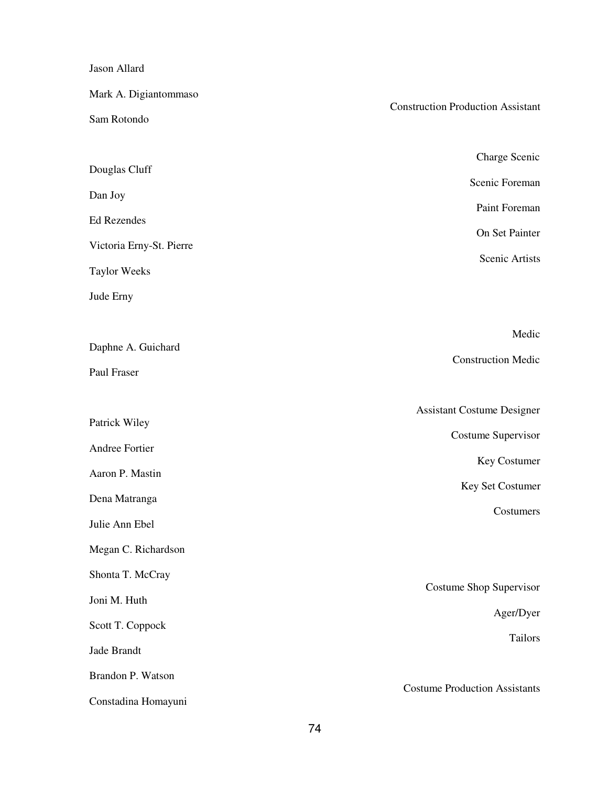Jason Allard

| Mark A. Digiantommaso    | <b>Construction Production Assistant</b> |  |
|--------------------------|------------------------------------------|--|
| Sam Rotondo              |                                          |  |
|                          |                                          |  |
| Douglas Cluff            | Charge Scenic                            |  |
| Dan Joy                  | Scenic Foreman                           |  |
| Ed Rezendes              | Paint Foreman                            |  |
| Victoria Erny-St. Pierre | On Set Painter                           |  |
| <b>Taylor Weeks</b>      | Scenic Artists                           |  |
| Jude Erny                |                                          |  |
|                          |                                          |  |
| Daphne A. Guichard       | Medic                                    |  |
| Paul Fraser              | <b>Construction Medic</b>                |  |
|                          |                                          |  |
| Patrick Wiley            | <b>Assistant Costume Designer</b>        |  |
| Andree Fortier           | <b>Costume Supervisor</b>                |  |
| Aaron P. Mastin          | Key Costumer                             |  |
| Dena Matranga            | Key Set Costumer                         |  |
| Julie Ann Ebel           | Costumers                                |  |
| Megan C. Richardson      |                                          |  |
| Shonta T. McCray         |                                          |  |
| Joni M. Huth             | Costume Shop Supervisor                  |  |
| Scott T. Coppock         | Ager/Dyer                                |  |
| Jade Brandt              | <b>Tailors</b>                           |  |
| Brandon P. Watson        |                                          |  |
| Constadina Homayuni      | <b>Costume Production Assistants</b>     |  |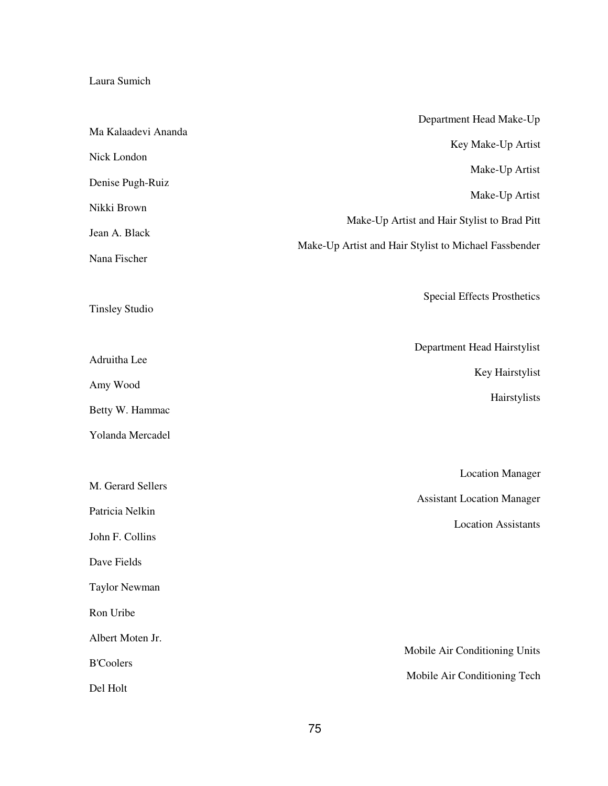# Laura Sumich

|                       | Department Head Make-Up                               |
|-----------------------|-------------------------------------------------------|
| Ma Kalaadevi Ananda   | Key Make-Up Artist                                    |
| Nick London           | Make-Up Artist                                        |
| Denise Pugh-Ruiz      | Make-Up Artist                                        |
| Nikki Brown           |                                                       |
| Jean A. Black         | Make-Up Artist and Hair Stylist to Brad Pitt          |
| Nana Fischer          | Make-Up Artist and Hair Stylist to Michael Fassbender |
| <b>Tinsley Studio</b> | <b>Special Effects Prosthetics</b>                    |
| Adruitha Lee          | Department Head Hairstylist                           |
| Amy Wood              | Key Hairstylist                                       |
| Betty W. Hammac       | Hairstylists                                          |
| Yolanda Mercadel      |                                                       |
|                       | <b>Location Manager</b>                               |
| M. Gerard Sellers     | <b>Assistant Location Manager</b>                     |
| Patricia Nelkin       | <b>Location Assistants</b>                            |
| John F. Collins       |                                                       |
| Dave Fields           |                                                       |
| <b>Taylor Newman</b>  |                                                       |
| Ron Uribe             |                                                       |
| Albert Moten Jr.      | Mobile Air Conditioning Units                         |
| <b>B'Coolers</b>      | Mobile Air Conditioning Tech                          |
| Del Holt              |                                                       |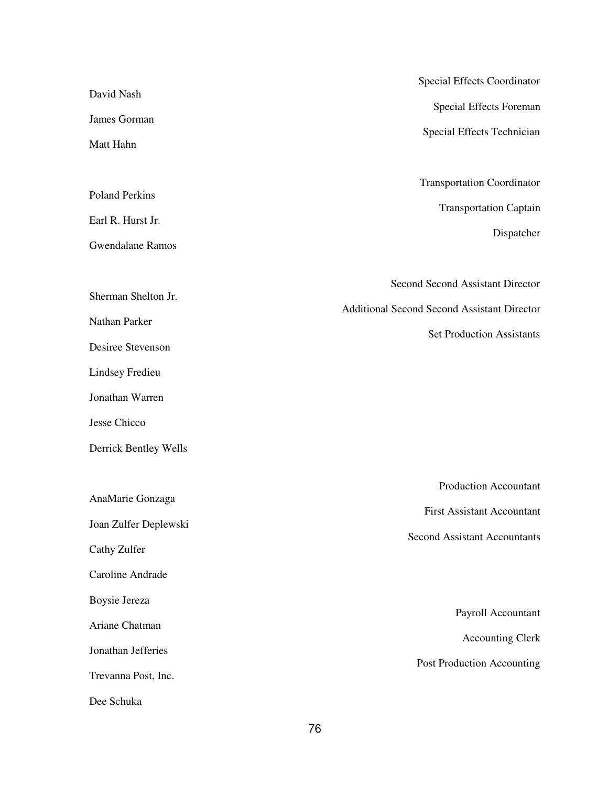|                                                                               | Special Effects Coordinator                                                                              |  |
|-------------------------------------------------------------------------------|----------------------------------------------------------------------------------------------------------|--|
| David Nash                                                                    | Special Effects Foreman                                                                                  |  |
| James Gorman                                                                  | Special Effects Technician                                                                               |  |
| Matt Hahn                                                                     |                                                                                                          |  |
| <b>Poland Perkins</b><br>Earl R. Hurst Jr.<br><b>Gwendalane Ramos</b>         | <b>Transportation Coordinator</b><br><b>Transportation Captain</b><br>Dispatcher                         |  |
| Sherman Shelton Jr.<br>Nathan Parker                                          | Second Second Assistant Director<br><b>Additional Second Second Assistant Director</b>                   |  |
| Desiree Stevenson                                                             | <b>Set Production Assistants</b>                                                                         |  |
| <b>Lindsey Fredieu</b>                                                        |                                                                                                          |  |
| Jonathan Warren                                                               |                                                                                                          |  |
| Jesse Chicco                                                                  |                                                                                                          |  |
| Derrick Bentley Wells                                                         |                                                                                                          |  |
| AnaMarie Gonzaga<br>Joan Zulfer Deplewski<br>Cathy Zulfer<br>Caroline Andrade | <b>Production Accountant</b><br><b>First Assistant Accountant</b><br><b>Second Assistant Accountants</b> |  |
| Boysie Jereza                                                                 | Payroll Accountant                                                                                       |  |
| Ariane Chatman                                                                | <b>Accounting Clerk</b>                                                                                  |  |
| Jonathan Jefferies<br>Trevanna Post, Inc.                                     | Post Production Accounting                                                                               |  |
| Dee Schuka                                                                    |                                                                                                          |  |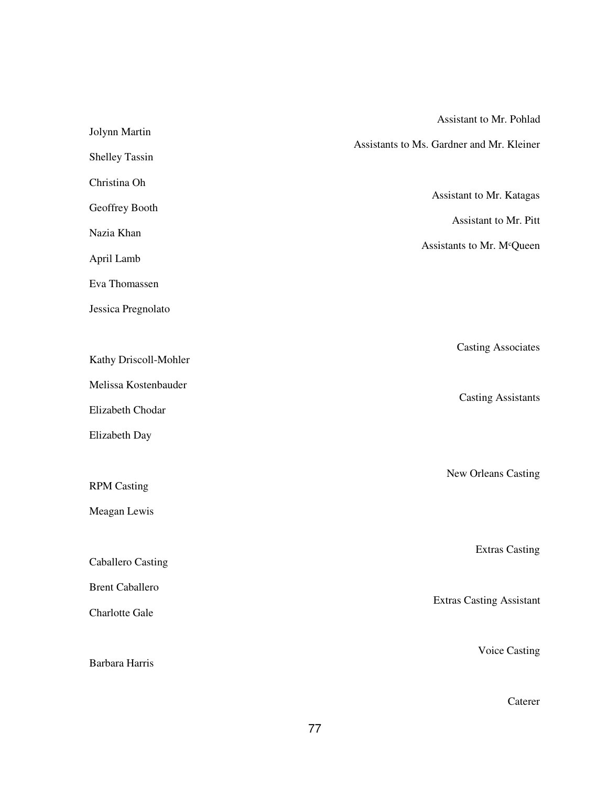|                          | Assistant to Mr. Pohlad                   |
|--------------------------|-------------------------------------------|
| Jolynn Martin            | Assistants to Ms. Gardner and Mr. Kleiner |
| Shelley Tassin           |                                           |
| Christina Oh             |                                           |
| Geoffrey Booth           | Assistant to Mr. Katagas                  |
| Nazia Khan               | Assistant to Mr. Pitt                     |
| April Lamb               | Assistants to Mr. M <sup>c</sup> Queen    |
| Eva Thomassen            |                                           |
| Jessica Pregnolato       |                                           |
|                          | <b>Casting Associates</b>                 |
| Kathy Driscoll-Mohler    |                                           |
| Melissa Kostenbauder     |                                           |
| Elizabeth Chodar         | <b>Casting Assistants</b>                 |
| Elizabeth Day            |                                           |
|                          | New Orleans Casting                       |
| <b>RPM Casting</b>       |                                           |
| Meagan Lewis             |                                           |
|                          | <b>Extras Casting</b>                     |
| <b>Caballero Casting</b> |                                           |
| <b>Brent Caballero</b>   |                                           |
| <b>Charlotte Gale</b>    | <b>Extras Casting Assistant</b>           |
|                          | <b>Voice Casting</b>                      |
| Barbara Harris           |                                           |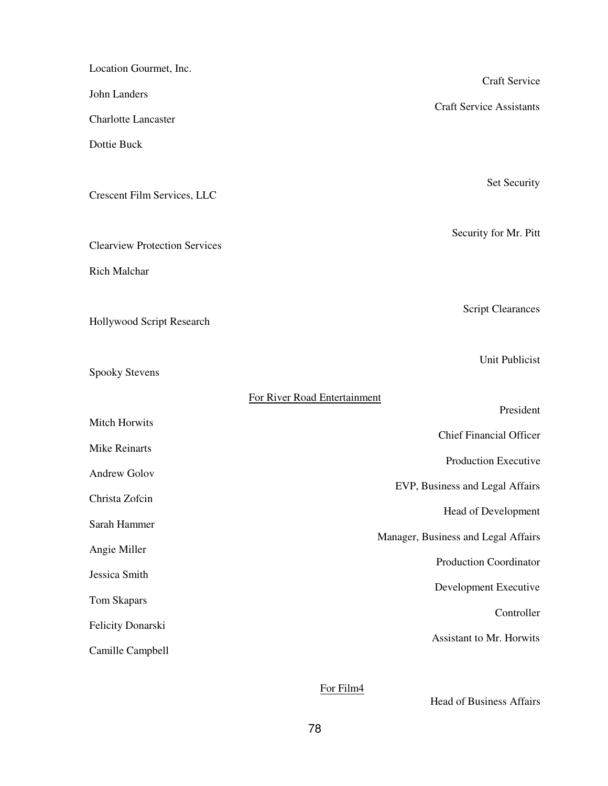| Location Gourmet, Inc.                | <b>Craft Service</b>                |
|---------------------------------------|-------------------------------------|
| John Landers                          |                                     |
| <b>Charlotte Lancaster</b>            | <b>Craft Service Assistants</b>     |
| Dottie Buck                           |                                     |
|                                       |                                     |
| Crescent Film Services, LLC           | Set Security                        |
|                                       |                                     |
| <b>Clearview Protection Services</b>  | Security for Mr. Pitt               |
| <b>Rich Malchar</b>                   |                                     |
|                                       |                                     |
| Hollywood Script Research             | <b>Script Clearances</b>            |
|                                       |                                     |
| <b>Spooky Stevens</b>                 | <b>Unit Publicist</b>               |
|                                       |                                     |
|                                       | For River Road Entertainment        |
| <b>Mitch Horwits</b>                  | President                           |
| <b>Mike Reinarts</b>                  | <b>Chief Financial Officer</b>      |
| <b>Andrew Golov</b>                   | Production Executive                |
| Christa Zofcin                        | EVP, Business and Legal Affairs     |
| Sarah Hammer                          | Head of Development                 |
|                                       | Manager, Business and Legal Affairs |
| Angie Miller                          | <b>Production Coordinator</b>       |
| Jessica Smith                         | Development Executive               |
| Tom Skapars                           | Controller                          |
| Felicity Donarski<br>Camille Campbell | Assistant to Mr. Horwits            |

# For Film4

Head of Business Affairs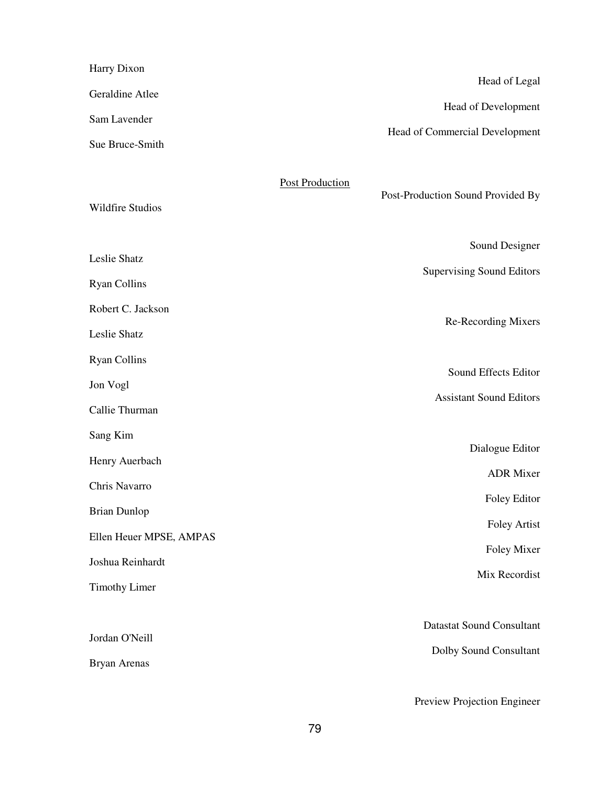| Harry Dixon                           |                        | Head of Legal                                              |
|---------------------------------------|------------------------|------------------------------------------------------------|
| Geraldine Atlee                       |                        |                                                            |
| Sam Lavender                          |                        | Head of Development                                        |
| Sue Bruce-Smith                       |                        | Head of Commercial Development                             |
| <b>Wildfire Studios</b>               | <b>Post Production</b> | Post-Production Sound Provided By                          |
| Leslie Shatz                          |                        | Sound Designer                                             |
| <b>Ryan Collins</b>                   |                        | <b>Supervising Sound Editors</b>                           |
| Robert C. Jackson                     |                        |                                                            |
| Leslie Shatz                          |                        | Re-Recording Mixers                                        |
| <b>Ryan Collins</b>                   |                        | Sound Effects Editor                                       |
| Jon Vogl                              |                        |                                                            |
| Callie Thurman                        |                        | <b>Assistant Sound Editors</b>                             |
| Sang Kim                              |                        |                                                            |
| Henry Auerbach                        |                        | Dialogue Editor                                            |
| Chris Navarro                         |                        | <b>ADR</b> Mixer                                           |
| <b>Brian Dunlop</b>                   |                        | Foley Editor                                               |
| Ellen Heuer MPSE, AMPAS               |                        | <b>Foley Artist</b>                                        |
| Joshua Reinhardt                      |                        | Foley Mixer                                                |
| <b>Timothy Limer</b>                  |                        | Mix Recordist                                              |
| Jordan O'Neill<br><b>Bryan Arenas</b> |                        | <b>Datastat Sound Consultant</b><br>Dolby Sound Consultant |
|                                       |                        | Preview Projection Engineer                                |

79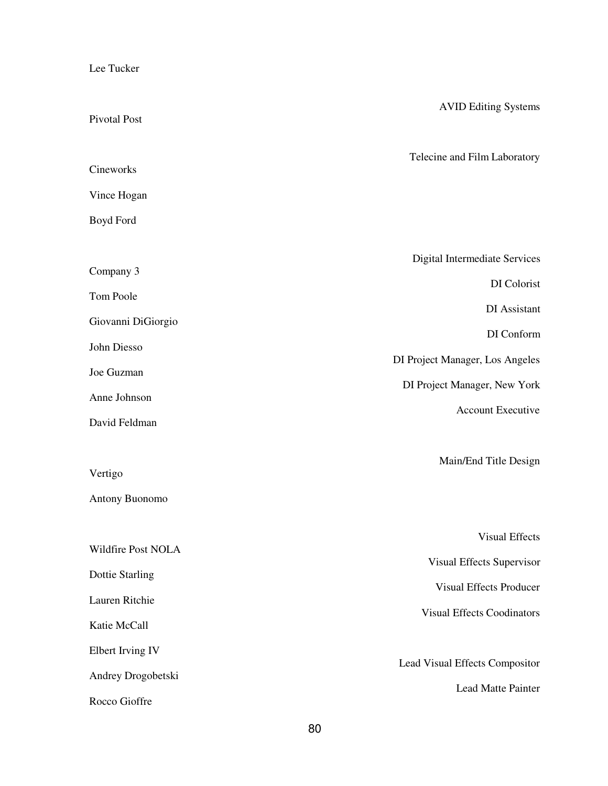Lee Tucker

| Pivotal Post           | <b>AVID Editing Systems</b>       |
|------------------------|-----------------------------------|
|                        |                                   |
| Cineworks              | Telecine and Film Laboratory      |
| Vince Hogan            |                                   |
| Boyd Ford              |                                   |
|                        | Digital Intermediate Services     |
| Company 3              | DI Colorist                       |
| Tom Poole              |                                   |
| Giovanni DiGiorgio     | DI Assistant                      |
| John Diesso            | DI Conform                        |
| Joe Guzman             | DI Project Manager, Los Angeles   |
| Anne Johnson           | DI Project Manager, New York      |
| David Feldman          | Account Executive                 |
|                        |                                   |
| Vertigo                | Main/End Title Design             |
| Antony Buonomo         |                                   |
|                        | <b>Visual Effects</b>             |
| Wildfire Post NOLA     |                                   |
| <b>Dottie Starling</b> | Visual Effects Supervisor         |
| Lauren Ritchie         | <b>Visual Effects Producer</b>    |
| Katie McCall           | <b>Visual Effects Coodinators</b> |
| Elbert Irving IV       |                                   |
| Andrey Drogobetski     | Lead Visual Effects Compositor    |
| Rocco Gioffre          | <b>Lead Matte Painter</b>         |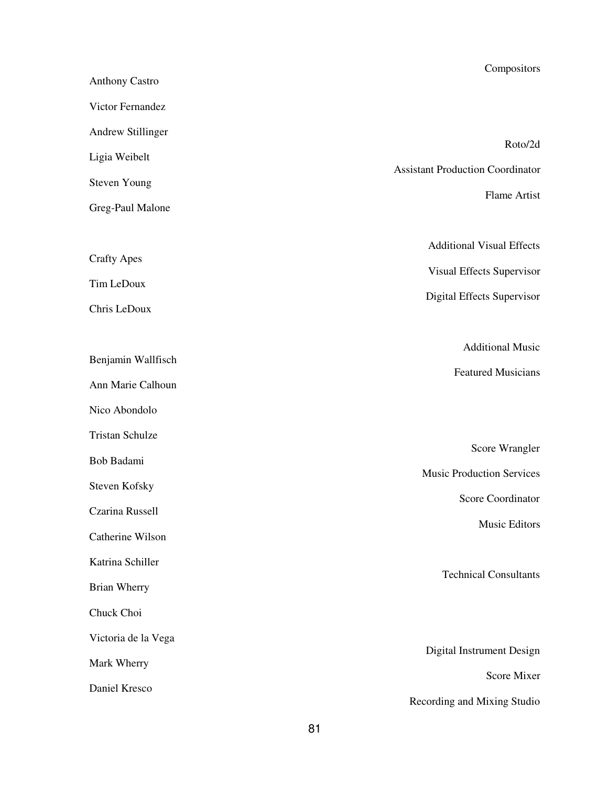| <b>Anthony Castro</b>  | Compositors                                        |
|------------------------|----------------------------------------------------|
| Victor Fernandez       |                                                    |
| Andrew Stillinger      |                                                    |
| Ligia Weibelt          | Roto/2d                                            |
| <b>Steven Young</b>    | <b>Assistant Production Coordinator</b>            |
| Greg-Paul Malone       | Flame Artist                                       |
|                        | <b>Additional Visual Effects</b>                   |
| <b>Crafty Apes</b>     | Visual Effects Supervisor                          |
| Tim LeDoux             | Digital Effects Supervisor                         |
| Chris LeDoux           |                                                    |
|                        | <b>Additional Music</b>                            |
| Benjamin Wallfisch     | <b>Featured Musicians</b>                          |
| Ann Marie Calhoun      |                                                    |
| Nico Abondolo          |                                                    |
| <b>Tristan Schulze</b> |                                                    |
| Bob Badami             | Score Wrangler<br><b>Music Production Services</b> |
| Steven Kofsky          |                                                    |
| Czarina Russell        | Score Coordinator                                  |
| Catherine Wilson       | Music Editors                                      |
| Katrina Schiller       |                                                    |
| <b>Brian Wherry</b>    | <b>Technical Consultants</b>                       |
| Chuck Choi             |                                                    |
| Victoria de la Vega    |                                                    |
| Mark Wherry            | Digital Instrument Design                          |
| Daniel Kresco          | Score Mixer                                        |
|                        | Recording and Mixing Studio                        |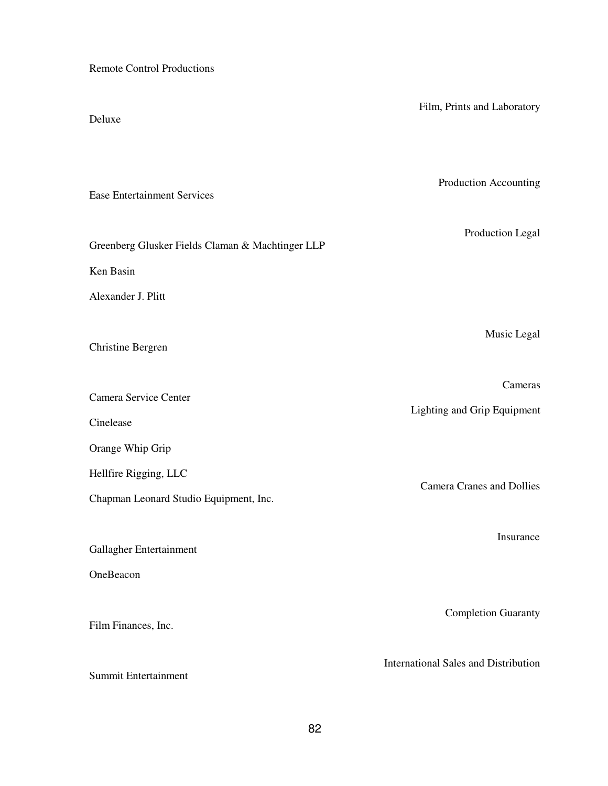Remote Control Productions

| Deluxe                                           | Film, Prints and Laboratory                 |
|--------------------------------------------------|---------------------------------------------|
| <b>Ease Entertainment Services</b>               | Production Accounting                       |
| Greenberg Glusker Fields Claman & Machtinger LLP | Production Legal                            |
| Ken Basin                                        |                                             |
| Alexander J. Plitt                               |                                             |
| <b>Christine Bergren</b>                         | Music Legal                                 |
| Camera Service Center                            | Cameras                                     |
| Cinelease                                        | Lighting and Grip Equipment                 |
| Orange Whip Grip                                 |                                             |
| Hellfire Rigging, LLC                            |                                             |
| Chapman Leonard Studio Equipment, Inc.           | <b>Camera Cranes and Dollies</b>            |
| Gallagher Entertainment<br>OneBeacon             | Insurance                                   |
| Film Finances, Inc.                              | <b>Completion Guaranty</b>                  |
| Summit Entertainment                             | <b>International Sales and Distribution</b> |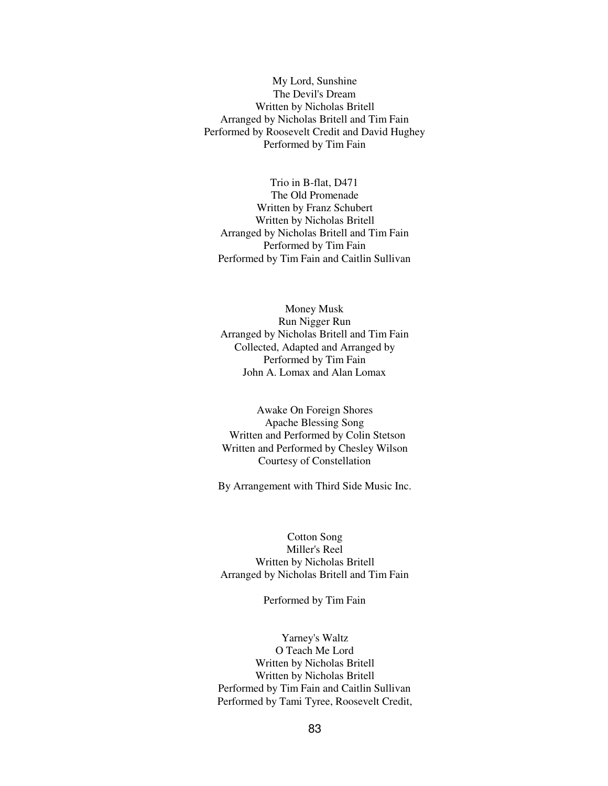My Lord, Sunshine The Devil's Dream Written by Nicholas Britell Arranged by Nicholas Britell and Tim Fain Performed by Roosevelt Credit and David Hughey Performed by Tim Fain

Trio in B-flat, D471 The Old Promenade Written by Franz Schubert Written by Nicholas Britell Arranged by Nicholas Britell and Tim Fain Performed by Tim Fain Performed by Tim Fain and Caitlin Sullivan

Money Musk Run Nigger Run Arranged by Nicholas Britell and Tim Fain Collected, Adapted and Arranged by Performed by Tim Fain John A. Lomax and Alan Lomax

Awake On Foreign Shores Apache Blessing Song Written and Performed by Colin Stetson Written and Performed by Chesley Wilson Courtesy of Constellation

By Arrangement with Third Side Music Inc.

Cotton Song Miller's Reel Written by Nicholas Britell Arranged by Nicholas Britell and Tim Fain

Performed by Tim Fain

Yarney's Waltz O Teach Me Lord Written by Nicholas Britell Written by Nicholas Britell Performed by Tim Fain and Caitlin Sullivan Performed by Tami Tyree, Roosevelt Credit,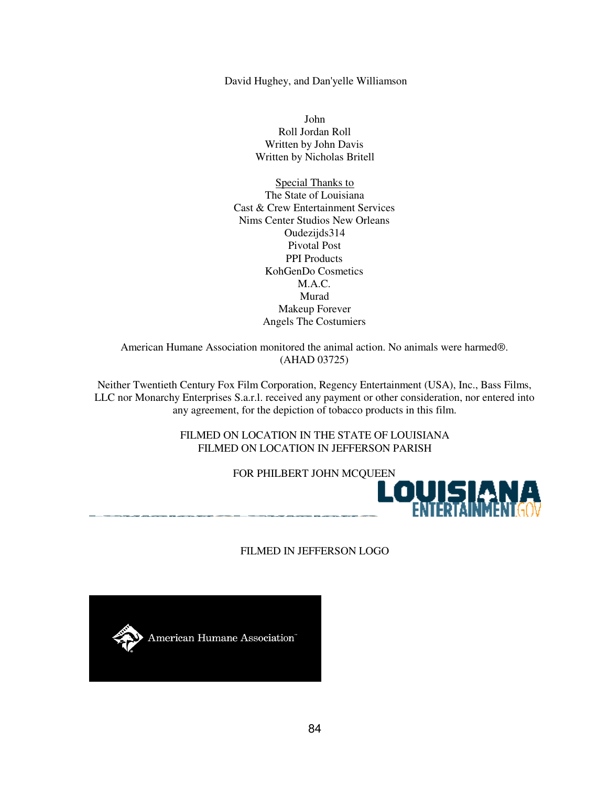David Hughey, and Dan'yelle Williamson

John Roll Jordan Roll Written by John Davis Written by Nicholas Britell

Special Thanks to The State of Louisiana Cast & Crew Entertainment Services Nims Center Studios New Orleans Oudezijds314 Pivotal Post PPI Products KohGenDo Cosmetics M.A.C. Murad Makeup Forever Angels The Costumiers

American Humane Association monitored the animal action. No animals were harmed®. (AHAD 03725)

Neither Twentieth Century Fox Film Corporation, Regency Entertainment (USA), Inc., Bass Films, LLC nor Monarchy Enterprises S.a.r.l. received any payment or other consideration, nor entered into any agreement, for the depiction of tobacco products in this film.

> FILMED ON LOCATION IN THE STATE OF LOUISIANA FILMED ON LOCATION IN JEFFERSON PARISH



FILMED IN JEFFERSON LOGO

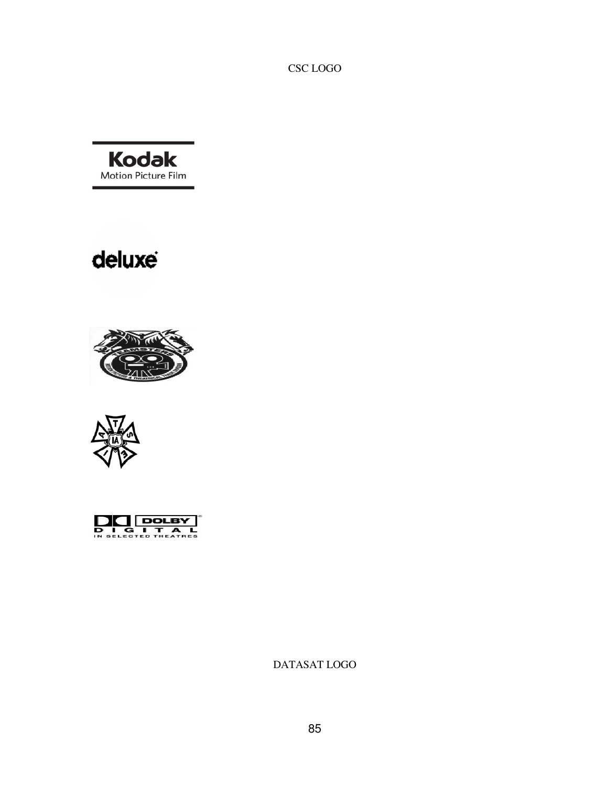CSC LOGO



# deluxe







DATASAT LOGO